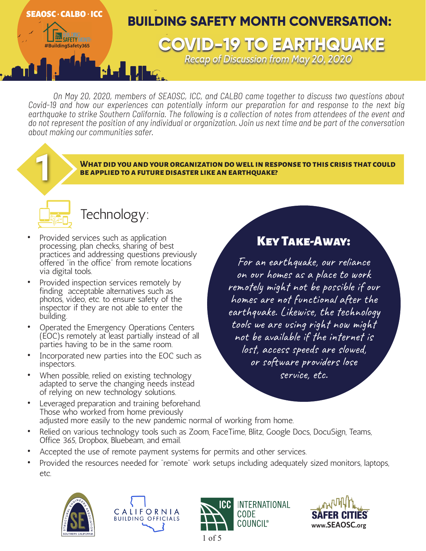

*On May 20, 2020, members of SEAOSC, ICC, and CALBO came together to discuss two questions about Covid-19 and how our experiences can potentially inform our preparation for and response to the next big earthquake to strike Southern California. The following is a collection of notes from attendees of the event and do not represent the position of any individual or organization. Join us next time and be part of the conversation about making our communities safer.*

**What did you and your organization do well in response to this crisis that could** 1 **be applied to a future disaster like an earthquake?**



# Technology:

- Provided services such as application processing, plan checks, sharing of best practices and addressing questions previously offered "in the office" from remote locations via digital tools.
- Provided inspection services remotely by finding acceptable alternatives such as photos, video, etc. to ensure safety of the inspector if they are not able to enter the building.
- Operated the Emergency Operations Centers (EOC)s remotely at least partially instead of all parties having to be in the same room.
- Incorporated new parties into the EOC such as inspectors.
- When possible, relied on existing technology adapted to serve the changing needs instead of relying on new technology solutions.
- Leveraged preparation and training beforehand. Those who worked from home previously adjusted more easily to the new pandemic normal of working from home.
- Relied on various technology tools such as Zoom, FaceTime, Blitz, Google Docs, DocuSign, Teams, Office 365, Dropbox, Bluebeam, and email.
- Accepted the use of remote payment systems for permits and other services.
- Provided the resources needed for "remote" work setups including adequately sized monitors, laptops, etc.









Key Take-Away:

For an earthquake, our reliance on our homes as a place to work remotely might not be possible if our homes are not functional after the earthquake. Likewise, the technology tools we are using right now might not be available if the internet is lost, access speeds are slowed, or software providers lose service, etc.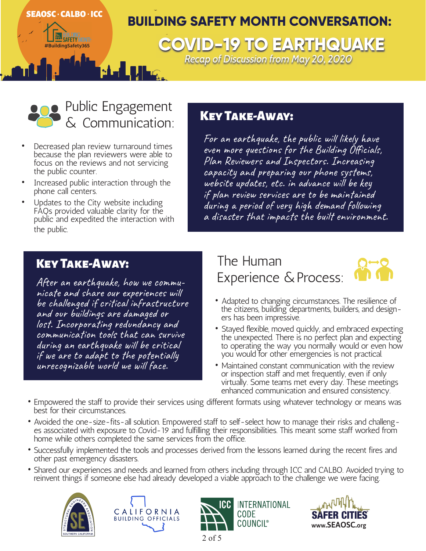### **BUILDING SAFETY MONTH CONVERSATION: AD EXPERIMING THE SAFETY MONEY COVID-19 TO EARTHQUAKE** SEAOSC - CALBO - ICC

# *Recap of Discussion from May 20, 2020*

# Public Engagement Communication:

- Decreased plan review turnaround times because the plan reviewers were able to focus on the reviews and not servicing the public counter.
- Increased public interaction through the phone call centers.
- Updates to the City website including FAQs provided valuable clarity for the public and expedited the interaction with the public.

### Key Take-Away:

For an earthquake, the public will likely have even more questions for the Building Officials, Plan Reviewers and Inspectors. Increasing capacity and preparing our phone systems, website updates, etc. in advance will be key if plan review services are to be maintained during a period of very high demand following a disaster that impacts the built environment.

### Key Take-Away:

After an earthquake, how we commu- nicate and share our experiences will be challenged if critical infrastructure and our buildings are damaged or lost. Incorporating redundancy and communication tools that can survive during an earthquake will be critical if we are to adapt to the potentially unrecognizable world we will face.

 The Human Experience & Process:



- Adapted to changing circumstances. The resilience of the citizens, building departments, builders, and designers has been impressive.
- Stayed flexible, moved quickly, and embraced expecting the unexpected. There is no perfect plan and expecting to operating the way you normally would or even how you would for other emergencies is not practical.
- Maintained constant communication with the review or inspection staff and met frequently, even if only virtually. Some teams met every day. These meetings enhanced communication and ensured consistency.
- Empowered the staff to provide their services using different formats using whatever technology or means was best for their circumstances.
- Avoided the one-size-fits-all solution. Empowered staff to self-select how to manage their risks and challeng<br>es associated with exposure to Covid-19 and fulfilling their responsibilities. This meant some staff worked fr home while others completed the same services from the office.
- Successfully implemented the tools and processes derived from the lessons learned during the recent fires and other past emergency disasters.
- Shared our experiences and needs and learned from others including through ICC and CALBO. Avoided trying to reinvent things if someone else had already developed a viable approach to the challenge we were facing.







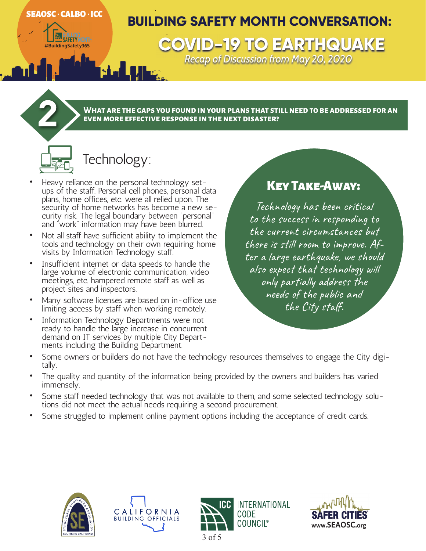### SEAOSC - CALBO - ICC

**#BuildingSafety365 COVID-19 TO EARTHQUAKE**

# **BUILDING SAFETY MONTH CONVERSATION:**

*Recap of Discussion from May 20, 2020* 

**What are the gaps you found in your plans that still need to be addressed for an** 2 **even more effective response in the next disaster?**

# Technology:

- Heavy reliance on the personal technology setups of the staff. Personal cell phones, personal data plans, home offices, etc. were all relied upon. The security of home networks has become a new security risk. The legal boundary between "personal" and "work" information may have been blurred.
- Not all staff have sufficient ability to implement the tools and technology on their own requiring home visits by Information Technology staff.
- Insufficient internet or data speeds to handle the large volume of electronic communication, video meetings, etc. hampered remote staff as well as project sites and inspectors.
- Many software licenses are based on in-office use limiting access by staff when working remotely.
- Information Technology Departments were not ready to handle the large increase in concurrent demand on IT services by multiple City Depart-<br>ments including the Building Department.

## Key Take-Away:

Technology has been critical to the success in responding to the current circumstances but there is still room to improve. After a large earthquake, we should also expect that technology will only partially address the needs of the public and the City staff.

- Some owners or builders do not have the technology resources themselves to engage the City digi-<br>tally.
- The quality and quantity of the information being provided by the owners and builders has varied immensely.
- Some staff needed technology that was not available to them, and some selected technology solu- tions did not meet the actual needs requiring a second procurement.
- Some struggled to implement online payment options including the acceptance of credit cards.







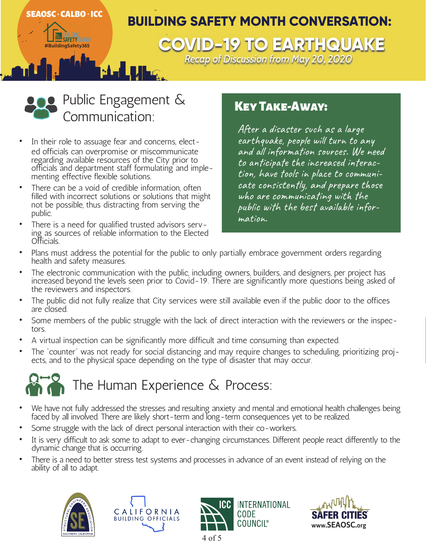



- In their role to assuage fear and concerns, elected officials can overpromise or miscommunicate regarding available resources of the City prior to officials and department staff formulating and implementing effective flexible solutions.
- There can be a void of credible information, often filled with incorrect solutions or solutions that might not be possible, thus distracting from serving the public.
- There is a need for qualified trusted advisors serving as sources of reliable information to the Elected Officials.

### **KEY TAKE-AWAY:**

After a disaster such as a large earthquake, people will turn to any and all information sources. We need to anticipate the increased interac-<br>tion, have tools in place to communi-<br>cate consistently, and prepare those who are communicating with the public with the best available infor-<br>mation.

- Plans must address the potential for the public to only partially embrace government orders regarding health and safety measures.
- The electronic communication with the public, including owners, builders, and designers, per project has increased beyond the levels seen prior to Covid-19. There are significantly more questions being asked of the reviewers and inspectors.
- The public did not fully realize that City services were still available even if the public door to the offices are closed.
- Some members of the public struggle with the lack of direct interaction with the reviewers or the inspectors.
- A virtual inspection can be significantly more difficult and time consuming than expected.
- The "counter" was not ready for social distancing and may require changes to scheduling, prioritizing projects, and to the physical space depending on the type of disaster that may occur.



- We have not fully addressed the stresses and resulting anxiety and mental and emotional health challenges being faced by all involved. There are likely short-term and long-term consequences yet to be realized.
- Some struggle with the lack of direct personal interaction with their co-workers.
- It is very difficult to ask some to adapt to ever-changing circumstances. Different people react differently to the dynamic change that is occurring.
- There is a need to better stress test systems and processes in advance of an event instead of relying on the ability of all to adapt.